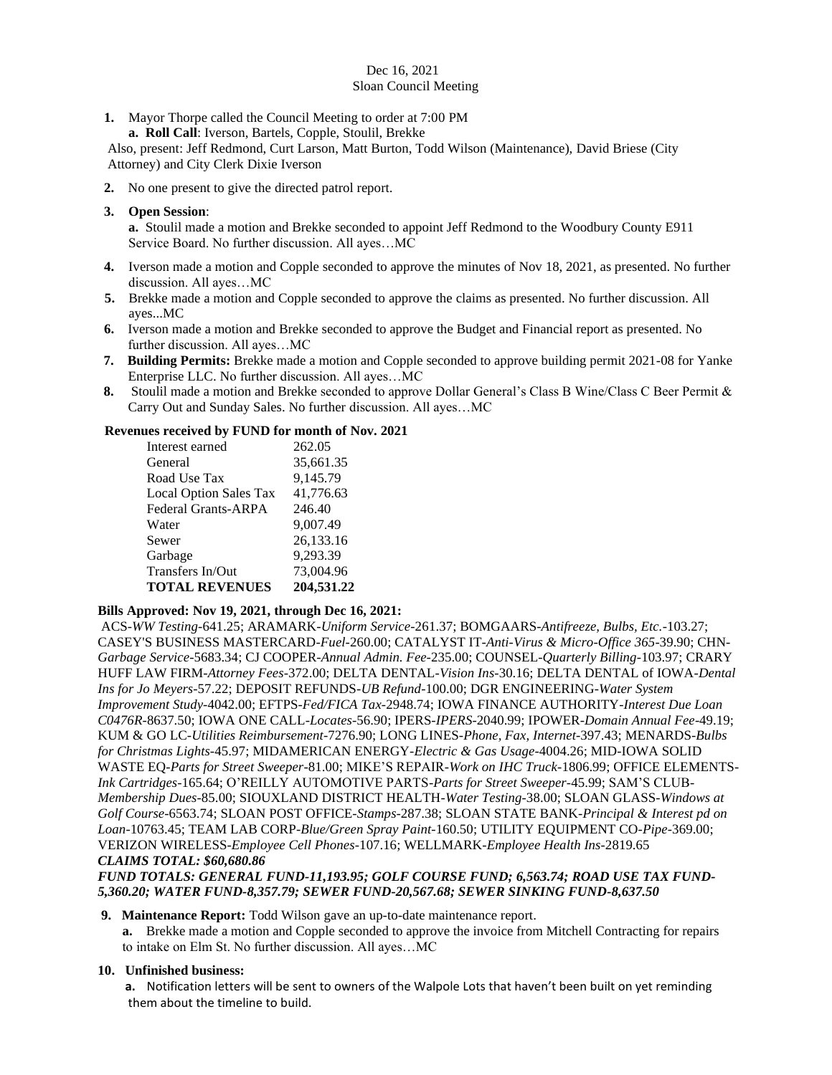### Dec 16, 2021 Sloan Council Meeting

- **1.** Mayor Thorpe called the Council Meeting to order at 7:00 PM
- **a. Roll Call**: Iverson, Bartels, Copple, Stoulil, Brekke

Also, present: Jeff Redmond, Curt Larson, Matt Burton, Todd Wilson (Maintenance), David Briese (City Attorney) and City Clerk Dixie Iverson

**2.** No one present to give the directed patrol report.

### **3. Open Session**:

**a.** Stoulil made a motion and Brekke seconded to appoint Jeff Redmond to the Woodbury County E911 Service Board. No further discussion. All ayes…MC

- **4.** Iverson made a motion and Copple seconded to approve the minutes of Nov 18, 2021, as presented. No further discussion. All ayes…MC
- **5.** Brekke made a motion and Copple seconded to approve the claims as presented. No further discussion. All ayes...MC
- **6.** Iverson made a motion and Brekke seconded to approve the Budget and Financial report as presented. No further discussion. All ayes…MC
- **7. Building Permits:** Brekke made a motion and Copple seconded to approve building permit 2021-08 for Yanke Enterprise LLC. No further discussion. All ayes…MC
- **8.** Stoulil made a motion and Brekke seconded to approve Dollar General's Class B Wine/Class C Beer Permit & Carry Out and Sunday Sales. No further discussion. All ayes…MC

### **Revenues received by FUND for month of Nov. 2021**

| Interest earned            | 262.05     |
|----------------------------|------------|
| General                    | 35,661.35  |
| Road Use Tax               | 9,145.79   |
| Local Option Sales Tax     | 41,776.63  |
| <b>Federal Grants-ARPA</b> | 246.40     |
| Water                      | 9,007.49   |
| Sewer                      | 26,133.16  |
| Garbage                    | 9,293.39   |
| Transfers In/Out           | 73,004.96  |
| <b>TOTAL REVENUES</b>      | 204,531.22 |

# **Bills Approved: Nov 19, 2021, through Dec 16, 2021:**

ACS-*WW Testing-*641.25; ARAMARK-*Uniform Service-*261.37; BOMGAARS-*Antifreeze, Bulbs, Etc.-*103.27; CASEY'S BUSINESS MASTERCARD-*Fuel-*260.00; CATALYST IT-*Anti-Virus & Micro-Office 365-*39.90; CHN-*Garbage Service-*5683.34; CJ COOPER-*Annual Admin. Fee-*235.00; COUNSEL-*Quarterly Billing-*103.97; CRARY HUFF LAW FIRM-*Attorney Fees-*372.00; DELTA DENTAL-*Vision Ins-*30.16; DELTA DENTAL of IOWA-*Dental Ins for Jo Meyers-*57.22; DEPOSIT REFUNDS-*UB Refund-*100.00; DGR ENGINEERING-*Water System Improvement Study-*4042.00; EFTPS-*Fed/FICA Tax*-2948.74; IOWA FINANCE AUTHORITY-*Interest Due Loan C0476R-*8637.50; IOWA ONE CALL-*Locates-*56.90; IPERS-*IPERS-*2040.99; IPOWER-*Domain Annual Fee*-49.19; KUM & GO LC-*Utilities Reimbursement-*7276.90; LONG LINES-*Phone, Fax, Internet*-397.43; MENARDS*-Bulbs for Christmas Lights-*45.97; MIDAMERICAN ENERGY-*Electric & Gas Usage*-4004.26; MID-IOWA SOLID WASTE EQ-*Parts for Street Sweeper-*81.00; MIKE'S REPAIR-*Work on IHC Truck-*1806.99; OFFICE ELEMENTS-*Ink Cartridges-*165.64; O'REILLY AUTOMOTIVE PARTS-*Parts for Street Sweeper-*45.99; SAM'S CLUB-*Membership Dues-*85.00; SIOUXLAND DISTRICT HEALTH-*Water Testing*-38.00; SLOAN GLASS-*Windows at Golf Course-*6563.74; SLOAN POST OFFICE-*Stamps-*287.38; SLOAN STATE BANK-*Principal & Interest pd on Loan-*10763.45; TEAM LAB CORP-*Blue/Green Spray Paint-*160.50; UTILITY EQUIPMENT CO-*Pipe-*369.00; VERIZON WIRELESS-*Employee Cell Phones-*107.16; WELLMARK-*Employee Health Ins-*2819.65 *CLAIMS TOTAL: \$60,680.86*

# *FUND TOTALS: GENERAL FUND-11,193.95; GOLF COURSE FUND; 6,563.74; ROAD USE TAX FUND-5,360.20; WATER FUND-8,357.79; SEWER FUND-20,567.68; SEWER SINKING FUND-8,637.50*

### **9. Maintenance Report:** Todd Wilson gave an up-to-date maintenance report.

**a.** Brekke made a motion and Copple seconded to approve the invoice from Mitchell Contracting for repairs to intake on Elm St. No further discussion. All ayes…MC

# **10. Unfinished business:**

**a.** Notification letters will be sent to owners of the Walpole Lots that haven't been built on yet reminding them about the timeline to build.